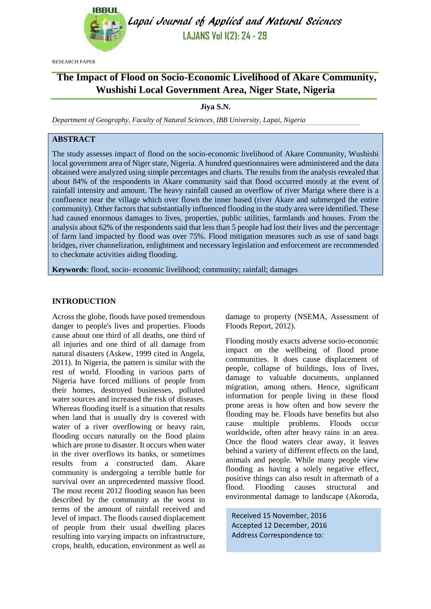

Lapai Journal of Applied and Natural Sciences **LAJANS Vol 1(2): 24 - 29**

RESEARCH PAPER

# **The Impact of Flood on Socio-Economic Livelihood of Akare Community, Wushishi Local Government Area, Niger State, Nigeria**

**Jiya S.N.**

*Department of Geography, Faculty of Natural Sciences, IBB University, Lapai, Nigeria*

# **ABSTRACT**

The study assesses impact of flood on the socio-economic livelihood of Akare Community, Wushishi local government area of Niger state, Nigeria. A hundred questionnaires were administered and the data obtained were analyzed using simple percentages and charts. The results from the analysis revealed that about 84% of the respondents in Akare community said that flood occurred mostly at the event of rainfall intensity and amount. The heavy rainfall caused an overflow of river Mariga where there is a confluence near the village which over flown the inner based (river Akare and submerged the entire community). Other factors that substantially influenced flooding in the study area were identified. These had caused enormous damages to lives, properties, public utilities, farmlands and houses. From the analysis about 62% of the respondents said that less than 5 people had lost their lives and the percentage of farm land impacted by flood was over 75%. Flood mitigation measures such as use of sand bags bridges, river channelization, enlightment and necessary legislation and enforcement are recommended to checkmate activities aiding flooding.

**Keywords**: flood, socio- economic livelihood; community; rainfall; damages

# **INTRODUCTION**

Across the globe, floods have posed tremendous danger to people's lives and properties. Floods cause about one third of all deaths, one third of all injuries and one third of all damage from natural disasters (Askew, 1999 cited in Angela, 2011). In Nigeria, the pattern is similar with the rest of world. Flooding in various parts of Nigeria have forced millions of people from their homes, destroyed businesses, polluted water sources and increased the risk of diseases. Whereas flooding itself is a situation that results when land that is usually dry is covered with water of a river overflowing or heavy rain, flooding occurs naturally on the flood plains which are prone to disaster. It occurs when water in the river overflows its banks, or sometimes results from a constructed dam. Akare community is undergoing a terrible battle for survival over an unprecedented massive flood. The most recent 2012 flooding season has been described by the community as the worst in terms of the amount of rainfall received and level of impact. The floods caused displacement of people from their usual dwelling places resulting into varying impacts on infrastructure, crops, health, education, environment as well as damage to property (NSEMA, Assessment of Floods Report, 2012).

Flooding mostly exacts adverse socio-economic impact on the wellbeing of flood prone communities. It does cause displacement of people, collapse of buildings, loss of lives, damage to valuable documents, unplanned migration, among others. Hence, significant information for people living in these flood prone areas is how often and how severe the flooding may be. Floods have benefits but also cause multiple problems. Floods occur worldwide, often after heavy rains in an area. Once the flood waters clear away, it leaves behind a variety of different effects on the land, animals and people. While many people view flooding as having a solely negative effect, positive things can also result in aftermath of a flood. Flooding causes structural and environmental damage to landscape (Akoroda,

Received 15 November, 2016 Accepted 12 December, 2016 Address Correspondence to: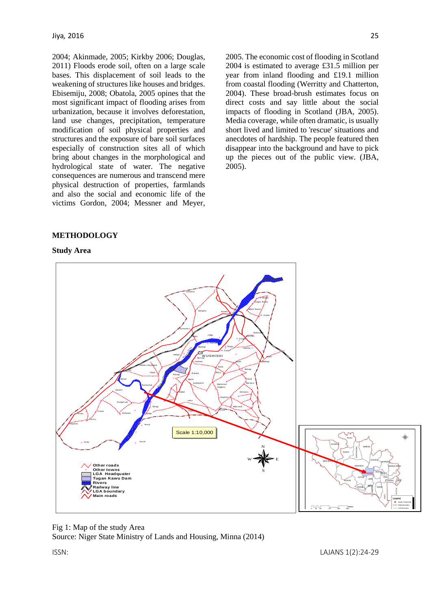2004; Akinmade, 2005; Kirkby 2006; Douglas, 2011) Floods erode soil, often on a large scale bases. This displacement of soil leads to the weakening of structures like houses and bridges. Ebisemiju, 2008; Obatola, 2005 opines that the most significant impact of flooding arises from urbanization, because it involves deforestation, land use changes, precipitation, temperature modification of soil physical properties and structures and the exposure of bare soil surfaces especially of construction sites all of which bring about changes in the morphological and hydrological state of water. The negative consequences are numerous and transcend mere physical destruction of properties, farmlands and also the social and economic life of the victims Gordon, 2004; Messner and Meyer,

2005. The economic cost of flooding in Scotland 2004 is estimated to average £31.5 million per year from inland flooding and £19.1 million from coastal flooding (Werritty and Chatterton, 2004). These broad-brush estimates focus on direct costs and say little about the social impacts of flooding in Scotland (JBA, 2005). Media coverage, while often dramatic, is usually short lived and limited to 'rescue' situations and anecdotes of hardship. The people featured then disappear into the background and have to pick up the pieces out of the public view. (JBA, 2005).

# **METHODOLOGY**

#### **Study Area**



Fig 1: Map of the study Area Source: Niger State Ministry of Lands and Housing, Minna (2014)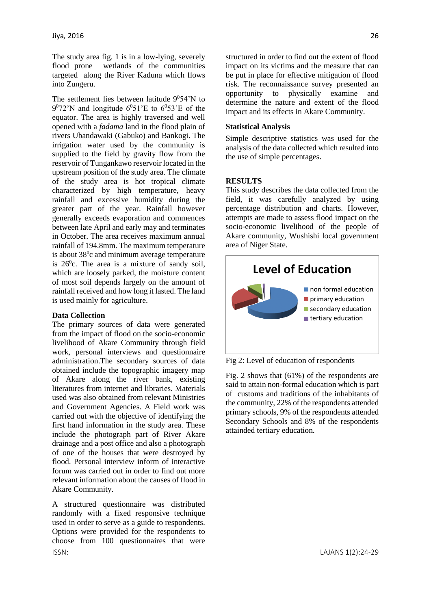The study area fig. 1 is in a low-lying, severely flood prone wetlands of the communities targeted along the River Kaduna which flows into Zungeru.

The settlement lies between latitude  $9^054'N$  to  $9^0$ 72'N and longitude  $6^0$ 51'E to  $6^0$ 53'E of the equator. The area is highly traversed and well opened with a *fadama* land in the flood plain of rivers Ubandawaki (Gabuko) and Bankogi. The irrigation water used by the community is supplied to the field by gravity flow from the reservoir of Tungankawo reservoir located in the upstream position of the study area. The climate of the study area is hot tropical climate characterized by high temperature, heavy rainfall and excessive humidity during the greater part of the year. Rainfall however generally exceeds evaporation and commences between late April and early may and terminates in October. The area receives maximum annual rainfall of 194.8mm. The maximum temperature is about  $38^\circ$ c and minimum average temperature is  $26^{\circ}$ c. The area is a mixture of sandy soil, which are loosely parked, the moisture content of most soil depends largely on the amount of rainfall received and how long it lasted. The land is used mainly for agriculture.

### **Data Collection**

The primary sources of data were generated from the impact of flood on the socio-economic livelihood of Akare Community through field work, personal interviews and questionnaire administration.The secondary sources of data obtained include the topographic imagery map of Akare along the river bank, existing literatures from internet and libraries. Materials used was also obtained from relevant Ministries and Government Agencies. A Field work was carried out with the objective of identifying the first hand information in the study area. These include the photograph part of River Akare drainage and a post office and also a photograph of one of the houses that were destroyed by flood. Personal interview inform of interactive forum was carried out in order to find out more relevant information about the causes of flood in Akare Community.

ISSN: LAJANS 1(2):24-29 A structured questionnaire was distributed randomly with a fixed responsive technique used in order to serve as a guide to respondents. Options were provided for the respondents to choose from 100 questionnaires that were

structured in order to find out the extent of flood impact on its victims and the measure that can be put in place for effective mitigation of flood risk. The reconnaissance survey presented an opportunity to physically examine and determine the nature and extent of the flood impact and its effects in Akare Community.

#### **Statistical Analysis**

Simple descriptive statistics was used for the analysis of the data collected which resulted into the use of simple percentages.

### **RESULTS**

This study describes the data collected from the field, it was carefully analyzed by using percentage distribution and charts. However, attempts are made to assess flood impact on the socio-economic livelihood of the people of Akare community, Wushishi local government area of Niger State.



Fig 2: Level of education of respondents

Fig. 2 shows that (61%) of the respondents are said to attain non-formal education which is part of customs and traditions of the inhabitants of the community, 22% of the respondents attended primary schools, 9% of the respondents attended Secondary Schools and 8% of the respondents attainded tertiary education.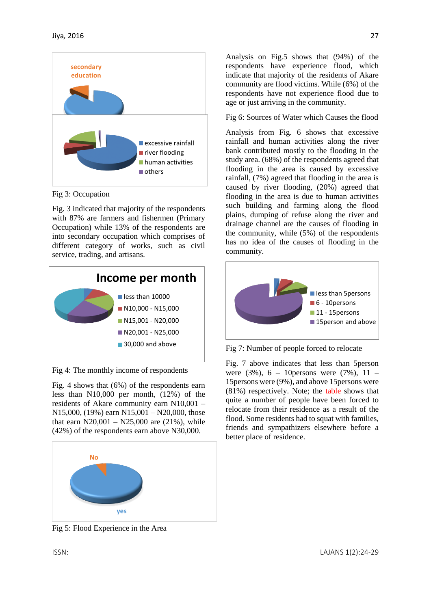

Fig 3: Occupation

Fig. 3 indicated that majority of the respondents with 87% are farmers and fishermen (Primary Occupation) while 13% of the respondents are into secondary occupation which comprises of different category of works, such as civil service, trading, and artisans.



Fig 4: The monthly income of respondents

Fig. 4 shows that (6%) of the respondents earn less than N10,000 per month, (12%) of the residents of Akare community earn N10,001 – N15,000, (19%) earn N15,001 – N20,000, those that earn  $N20,001 - N25,000$  are  $(21\%)$ , while (42%) of the respondents earn above N30,000.



Analysis on Fig.5 shows that (94%) of the respondents have experience flood, which indicate that majority of the residents of Akare community are flood victims. While (6%) of the respondents have not experience flood due to age or just arriving in the community.

Fig 6: Sources of Water which Causes the flood

Analysis from Fig. 6 shows that excessive rainfall and human activities along the river bank contributed mostly to the flooding in the study area. (68%) of the respondents agreed that flooding in the area is caused by excessive rainfall, (7%) agreed that flooding in the area is caused by river flooding, (20%) agreed that flooding in the area is due to human activities such building and farming along the flood plains, dumping of refuse along the river and drainage channel are the causes of flooding in the community, while (5%) of the respondents has no idea of the causes of flooding in the community.



Fig 7: Number of people forced to relocate

Fig. 7 above indicates that less than 5person were  $(3\%)$ , 6 – 10 persons were  $(7\%)$ , 11 – 15persons were (9%), and above 15persons were (81%) respectively. Note; the table shows that quite a number of people have been forced to relocate from their residence as a result of the flood. Some residents had to squat with families, friends and sympathizers elsewhere before a better place of residence.

Fig 5: Flood Experience in the Area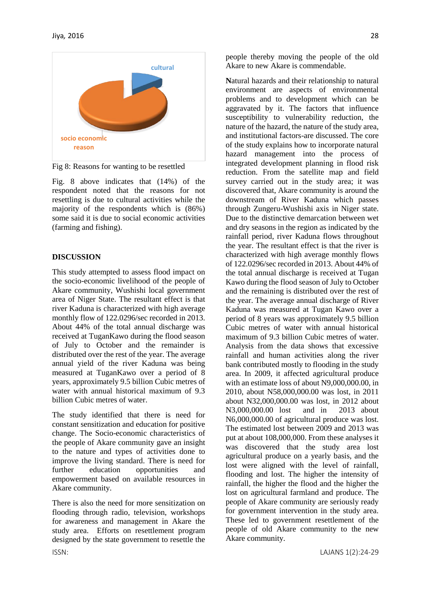

Fig 8: Reasons for wanting to be resettled

Fig. 8 above indicates that (14%) of the respondent noted that the reasons for not resettling is due to cultural activities while the majority of the respondents which is (86%) some said it is due to social economic activities (farming and fishing).

# **DISCUSSION**

This study attempted to assess flood impact on the socio-economic livelihood of the people of Akare community, Wushishi local government area of Niger State. The resultant effect is that river Kaduna is characterized with high average monthly flow of 122.0296/sec recorded in 2013. About 44% of the total annual discharge was received at TuganKawo during the flood season of July to October and the remainder is distributed over the rest of the year. The average annual yield of the river Kaduna was being measured at TuganKawo over a period of 8 years, approximately 9.5 billion Cubic metres of water with annual historical maximum of 9.3 billion Cubic metres of water.

The study identified that there is need for constant sensitization and education for positive change. The Socio-economic characteristics of the people of Akare community gave an insight to the nature and types of activities done to improve the living standard. There is need for further education opportunities and empowerment based on available resources in Akare community.

There is also the need for more sensitization on flooding through radio, television, workshops for awareness and management in Akare the study area. Efforts on resettlement program designed by the state government to resettle the people thereby moving the people of the old Akare to new Akare is commendable.

**N**atural hazards and their relationship to natural environment are aspects of environmental problems and to development which can be aggravated by it. The factors that influence susceptibility to vulnerability reduction, the nature of the hazard, the nature of the study area, and institutional factors-are discussed. The core of the study explains how to incorporate natural hazard management into the process of integrated development planning in flood risk reduction. From the satellite map and field survey carried out in the study area; it was discovered that, Akare community is around the downstream of River Kaduna which passes through Zungeru-Wushishi axis in Niger state. Due to the distinctive demarcation between wet and dry seasons in the region as indicated by the rainfall period, river Kaduna flows throughout the year. The resultant effect is that the river is characterized with high average monthly flows of 122.0296/sec recorded in 2013. About 44% of the total annual discharge is received at Tugan Kawo during the flood season of July to October and the remaining is distributed over the rest of the year. The average annual discharge of River Kaduna was measured at Tugan Kawo over a period of 8 years was approximately 9.5 billion Cubic metres of water with annual historical maximum of 9.3 billion Cubic metres of water. Analysis from the data shows that excessive rainfall and human activities along the river bank contributed mostly to flooding in the study area. In 2009, it affected agricultural produce with an estimate loss of about N9,000,000.00, in 2010, about N58,000,000.00 was lost, in 2011 about N32,000,000.00 was lost, in 2012 about N3,000,000.00 lost and in 2013 about N6,000,000.00 of agricultural produce was lost. The estimated lost between 2009 and 2013 was put at about 108,000,000. From these analyses it was discovered that the study area lost agricultural produce on a yearly basis, and the lost were aligned with the level of rainfall, flooding and lost. The higher the intensity of rainfall, the higher the flood and the higher the lost on agricultural farmland and produce. The people of Akare community are seriously ready for government intervention in the study area. These led to government resettlement of the people of old Akare community to the new Akare community.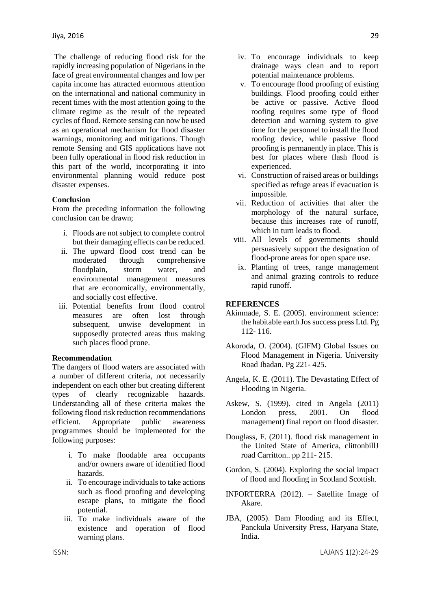The challenge of reducing flood risk for the rapidly increasing population of Nigerians in the face of great environmental changes and low per capita income has attracted enormous attention on the international and national community in recent times with the most attention going to the climate regime as the result of the repeated cycles of flood. Remote sensing can now be used as an operational mechanism for flood disaster warnings, monitoring and mitigations. Though remote Sensing and GIS applications have not been fully operational in flood risk reduction in this part of the world, incorporating it into environmental planning would reduce post disaster expenses.

#### **Conclusion**

From the preceding information the following conclusion can be drawn;

- i. Floods are not subject to complete control but their damaging effects can be reduced.
- ii. The upward flood cost trend can be moderated through comprehensive floodplain, storm water, and environmental management measures that are economically, environmentally, and socially cost effective.
- iii. Potential benefits from flood control measures are often lost through subsequent, unwise development in supposedly protected areas thus making such places flood prone.

#### **Recommendation**

The dangers of flood waters are associated with a number of different criteria, not necessarily independent on each other but creating different types of clearly recognizable hazards. Understanding all of these criteria makes the following flood risk reduction recommendations efficient. Appropriate public awareness programmes should be implemented for the following purposes:

- i. To make floodable area occupants and/or owners aware of identified flood hazards.
- ii. To encourage individuals to take actions such as flood proofing and developing escape plans, to mitigate the flood potential.
- iii. To make individuals aware of the existence and operation of flood warning plans.
- iv. To encourage individuals to keep drainage ways clean and to report potential maintenance problems.
- v. To encourage flood proofing of existing buildings. Flood proofing could either be active or passive. Active flood roofing requires some type of flood detection and warning system to give time for the personnel to install the flood roofing device, while passive flood proofing is permanently in place. This is best for places where flash flood is experienced.
- vi. Construction of raised areas or buildings specified as refuge areas if evacuation is impossible.
- vii. Reduction of activities that alter the morphology of the natural surface, because this increases rate of runoff, which in turn leads to flood.
- viii. All levels of governments should persuasively support the designation of flood-prone areas for open space use.
- ix. Planting of trees, range management and animal grazing controls to reduce rapid runoff.

#### **REFERENCES**

- Akinmade, S. E. (2005). environment science: the habitable earth Jos success press Ltd. Pg 112- 116.
- Akoroda, O. (2004). (GIFM) Global Issues on Flood Management in Nigeria. University Road Ibadan. Pg 221- 425.
- Angela, K. E. (2011). The Devastating Effect of Flooding in Nigeria.
- Askew, S. (1999). cited in Angela (2011) London press, 2001. On flood management) final report on flood disaster.
- Douglass, F. (2011). flood risk management in the United State of America, clittonbillJ road Carritton.. pp 211- 215.
- Gordon, S. (2004). Exploring the social impact of flood and flooding in Scotland Scottish.
- INFORTERRA (2012). Satellite Image of Akare.
- JBA, (2005). Dam Flooding and its Effect, Panckula University Press, Haryana State, India.